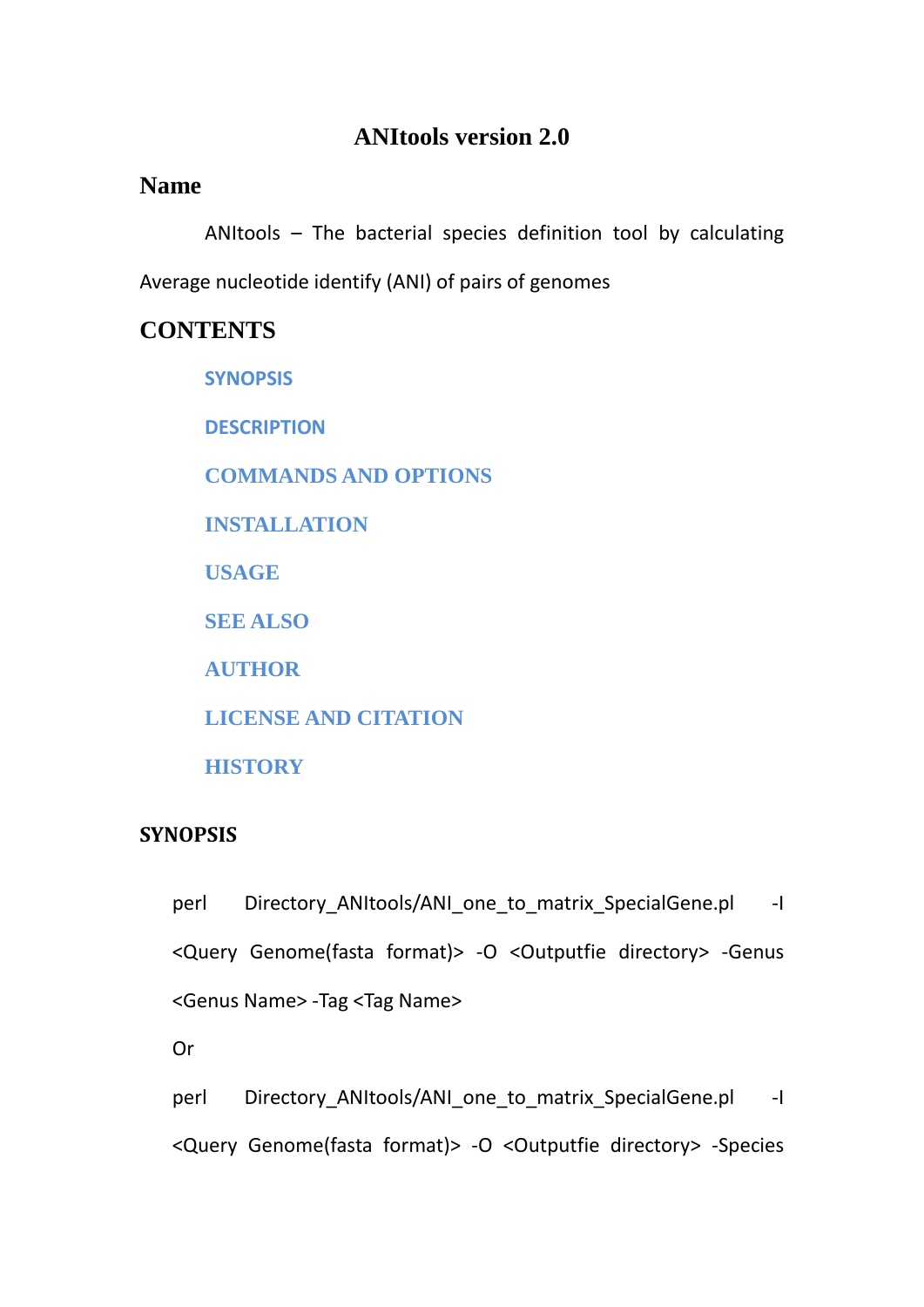# **ANItools version 2.0**

# **Name**

ANItools – The bacterial species definition tool by calculating Average nucleotide identify (ANI) of pairs of genomes

# **CONTENTS**

**[SYNOPSIS](#page-0-0)**

**[DESCRIPTION](#page-1-0)**

**[COMMANDS AND](#page-1-1) OPTIONS**

**[INSTALLATION](#page-2-0)**

**[USAGE](#page-3-0)**

**[SEE ALSO](#page-3-1)**

**[AUTHOR](#page-4-0)**

**[LICENSE AND CITATION](#page-4-1)**

**[HISTORY](#page-4-2)**

## <span id="page-0-0"></span>**SYNOPSIS**

perl Directory ANItools/ANI one to matrix SpecialGene.pl -I <Query Genome(fasta format)> -O <Outputfie directory> -Genus <Genus Name> -Tag <Tag Name>

Or

perl Directory ANItools/ANI one to matrix SpecialGene.pl -I <Query Genome(fasta format)> -O <Outputfie directory> -Species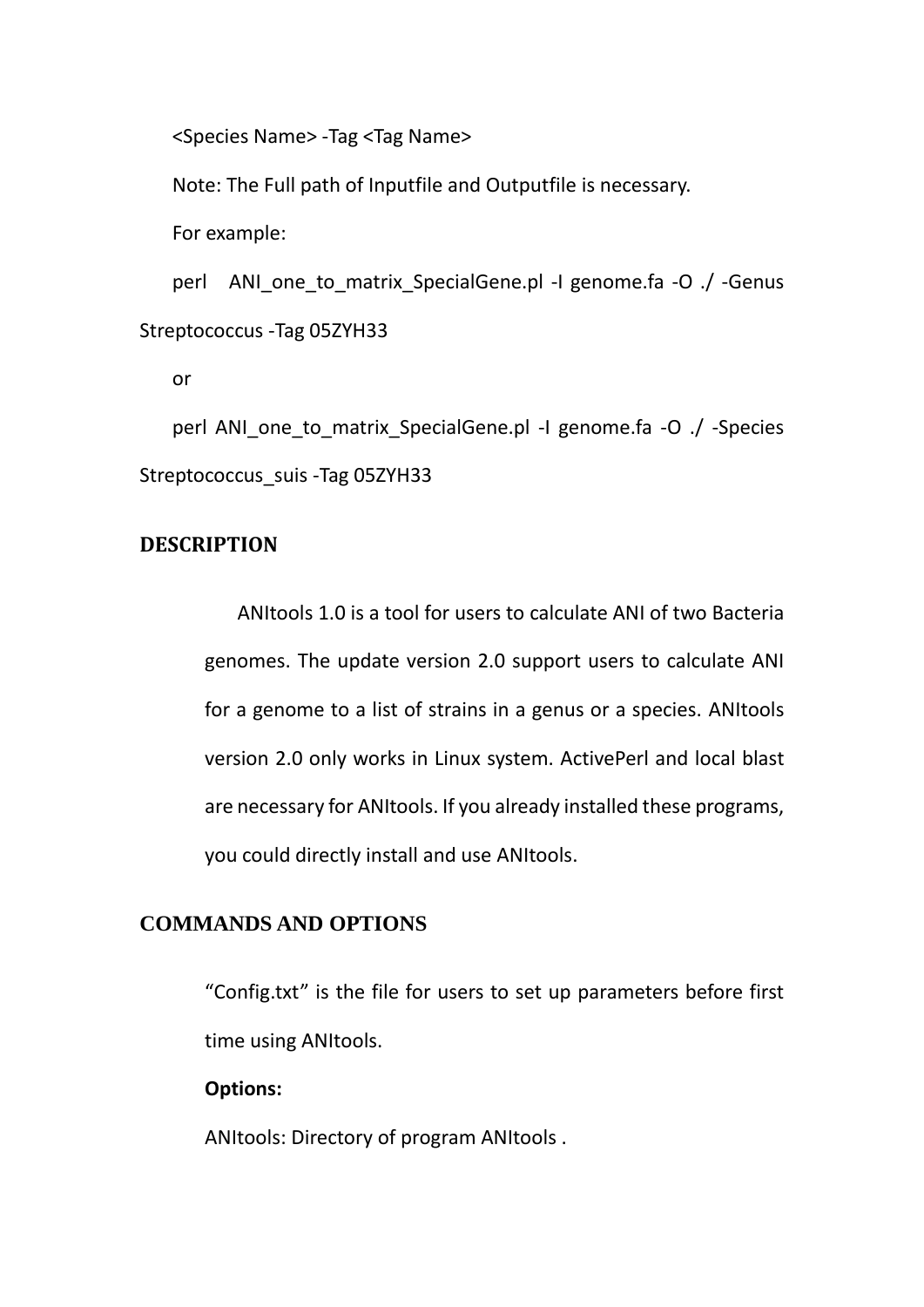<Species Name> -Tag <Tag Name>

Note: The Full path of Inputfile and Outputfile is necessary.

For example:

perl ANI one to matrix SpecialGene.pl -I genome.fa -O ./ -Genus Streptococcus -Tag 05ZYH33

or

perl ANI\_one\_to\_matrix\_SpecialGene.pl -I genome.fa -O ./ -Species Streptococcus\_suis -Tag 05ZYH33

### <span id="page-1-0"></span>**DESCRIPTION**

ANItools 1.0 is a tool for users to calculate ANI of two Bacteria genomes. The update version 2.0 support users to calculate ANI for a genome to a list of strains in a genus or a species. ANItools version 2.0 only works in Linux system. ActivePerl and local blast are necessary for ANItools. If you already installed these programs, you could directly install and use ANItools.

#### <span id="page-1-1"></span>**COMMANDS AND OPTIONS**

"Config.txt" is the file for users to set up parameters before first time using ANItools.

#### **Options:**

ANItools: Directory of program ANItools .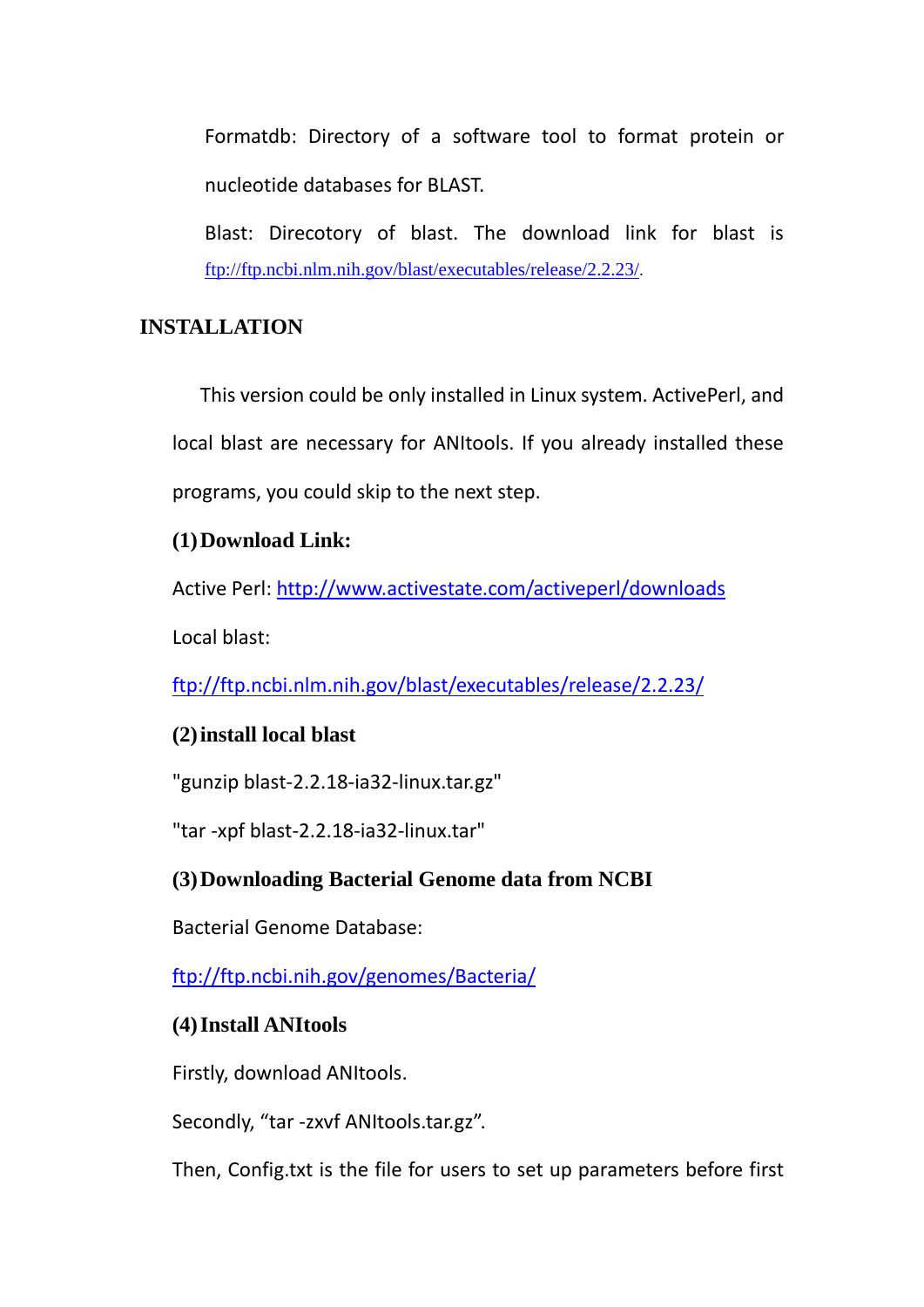Formatdb: Directory of a software tool to format protein or nucleotide databases for BLAST.

Blast: Direcotory of blast. The download link for blast is <ftp://ftp.ncbi.nlm.nih.gov/blast/executables/release/2.2.23/>.

## <span id="page-2-0"></span>**INSTALLATION**

This version could be only installed in Linux system. ActivePerl, and local blast are necessary for ANItools. If you already installed these programs, you could skip to the next step.

### **(1)Download Link:**

Active Perl:<http://www.activestate.com/activeperl/downloads> Local blast:

<ftp://ftp.ncbi.nlm.nih.gov/blast/executables/release/2.2.23/>

#### **(2)install local blast**

"gunzip blast-2.2.18-ia32-linux.tar.gz"

"tar -xpf blast-2.2.18-ia32-linux.tar"

### **(3)Downloading Bacterial Genome data from NCBI**

Bacterial Genome Database:

<ftp://ftp.ncbi.nih.gov/genomes/Bacteria/>

#### **(4)Install ANItools**

Firstly, download ANItools.

Secondly, "tar -zxvf ANItools.tar.gz".

Then, Config.txt is the file for users to set up parameters before first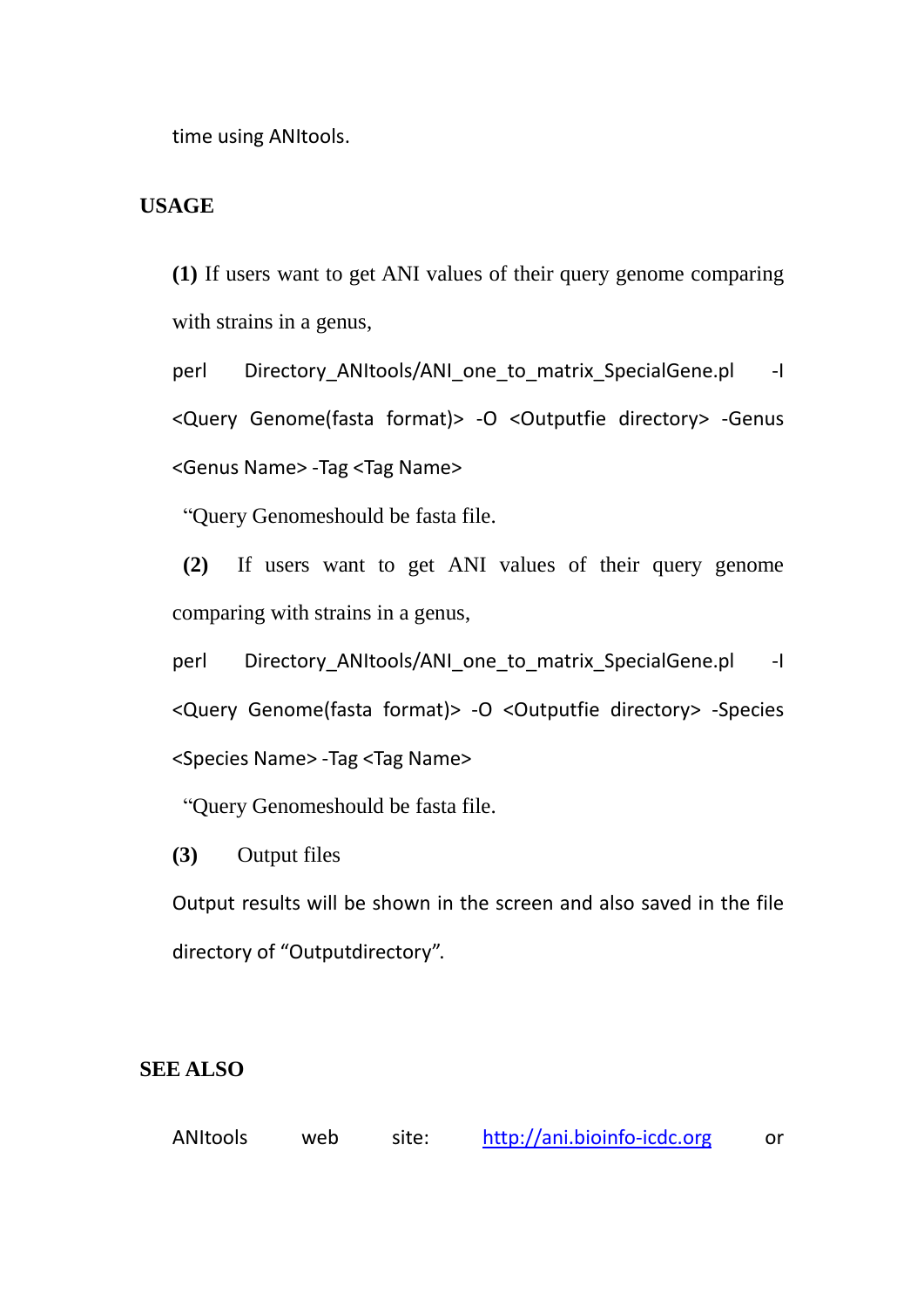time using ANItools.

### <span id="page-3-0"></span>**USAGE**

**(1)** If users want to get ANI values of their query genome comparing with strains in a genus,

perl Directory ANItools/ANI one to matrix SpecialGene.pl -I <Query Genome(fasta format)> -O <Outputfie directory> -Genus <Genus Name> -Tag <Tag Name>

"Query Genomeshould be fasta file.

**(2)** If users want to get ANI values of their query genome comparing with strains in a genus,

perl Directory ANItools/ANI one to matrix SpecialGene.pl -I <Query Genome(fasta format)> -O <Outputfie directory> -Species <Species Name> -Tag <Tag Name>

"Query Genomeshould be fasta file.

**(3)** Output files

Output results will be shown in the screen and also saved in the file directory of "Outputdirectory".

### <span id="page-3-1"></span>**SEE ALSO**

ANItools web site: [http://ani.bioinfo-icdc.org](http://ani.bioinfo-icdc.org/) or